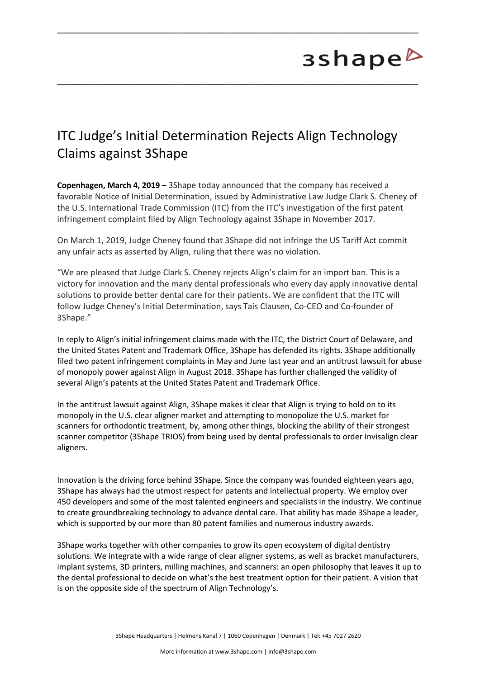## 3shape<sup>b</sup>

## ITC Judge's Initial Determination Rejects Align Technology Claims against 3Shape

\_\_\_\_\_\_\_\_\_\_\_\_\_\_\_\_\_\_\_\_\_\_\_\_\_\_\_\_\_\_\_\_\_\_\_\_\_\_\_\_\_\_\_\_\_\_\_\_\_\_\_\_\_\_\_\_\_\_\_\_\_\_\_\_\_\_\_\_\_\_\_\_\_\_\_

\_\_\_\_\_\_\_\_\_\_\_\_\_\_\_\_\_\_\_\_\_\_\_\_\_\_\_\_\_\_\_\_\_\_\_\_\_\_\_\_\_\_\_\_\_\_\_\_\_\_\_\_\_\_\_\_\_\_\_\_\_\_\_\_\_\_\_\_\_\_\_\_\_\_\_

**Copenhagen, March 4, 2019 –** 3Shape today announced that the company has received a favorable Notice of Initial Determination, issued by Administrative Law Judge Clark S. Cheney of the U.S. International Trade Commission (ITC) from the ITC's investigation of the first patent infringement complaint filed by Align Technology against 3Shape in November 2017.

On March 1, 2019, Judge Cheney found that 3Shape did not infringe the US Tariff Act commit any unfair acts as asserted by Align, ruling that there was no violation.

"We are pleased that Judge Clark S. Cheney rejects Align's claim for an import ban. This is a victory for innovation and the many dental professionals who every day apply innovative dental solutions to provide better dental care for their patients. We are confident that the ITC will follow Judge Cheney's Initial Determination, says Tais Clausen, Co-CEO and Co-founder of 3Shape."

In reply to Align's initial infringement claims made with the ITC, the District Court of Delaware, and the United States Patent and Trademark Office, 3Shape has defended its rights. 3Shape additionally filed two patent infringement complaints in May and June last year and an antitrust lawsuit for abuse of monopoly power against Align in August 2018. 3Shape has further challenged the validity of several Align's patents at the United States Patent and Trademark Office.

In the antitrust lawsuit against Align, 3Shape makes it clear that Align is trying to hold on to its monopoly in the U.S. clear aligner market and attempting to monopolize the U.S. market for scanners for orthodontic treatment, by, among other things, blocking the ability of their strongest scanner competitor (3Shape TRIOS) from being used by dental professionals to order Invisalign clear aligners.

Innovation is the driving force behind 3Shape. Since the company was founded eighteen years ago, 3Shape has always had the utmost respect for patents and intellectual property. We employ over 450 developers and some of the most talented engineers and specialists in the industry. We continue to create groundbreaking technology to advance dental care. That ability has made 3Shape a leader, which is supported by our more than 80 patent families and numerous industry awards.

3Shape works together with other companies to grow its open ecosystem of digital dentistry solutions. We integrate with a wide range of clear aligner systems, as well as bracket manufacturers, implant systems, 3D printers, milling machines, and scanners: an open philosophy that leaves it up to the dental professional to decide on what's the best treatment option for their patient. A vision that is on the opposite side of the spectrum of Align Technology's.